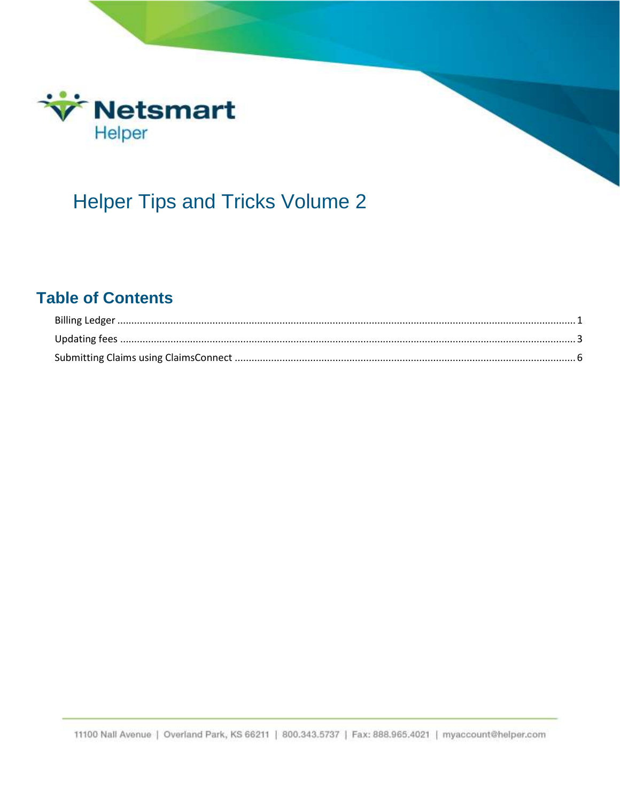

# **Helper Tips and Tricks Volume 2**

## **Table of Contents**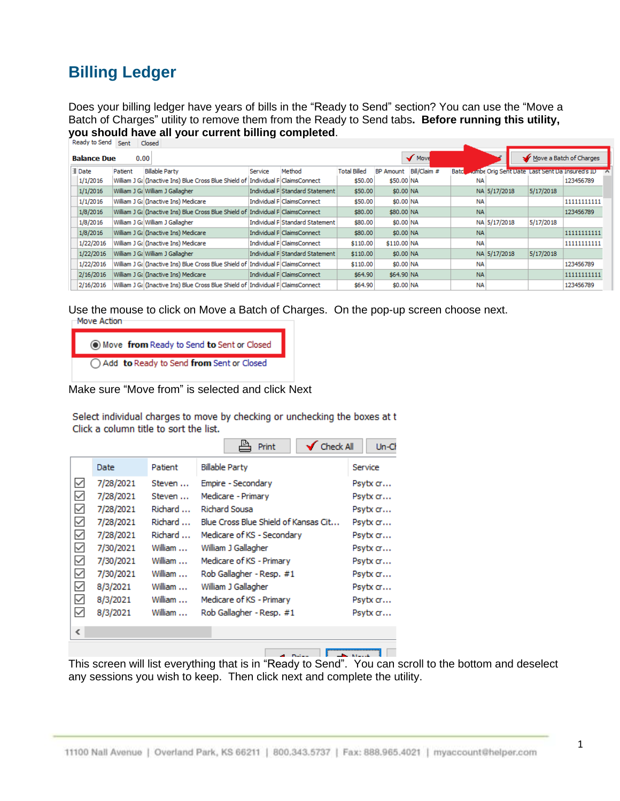# <span id="page-1-0"></span>**Billing Ledger**

Does your billing ledger have years of bills in the "Ready to Send" section? You can use the "Move a Batch of Charges" utility to remove them from the Ready to Send tabs**. Before running this utility, you should have all your current billing completed.**<br>| Ready to Send | Sent | Closed |

| Move<br><b>Balance Due</b><br>0.00 |         |                                                                                   |         |                                 |                     |                        |  |           |                                                     |           | Move a Batch of Charges |  |  |
|------------------------------------|---------|-----------------------------------------------------------------------------------|---------|---------------------------------|---------------------|------------------------|--|-----------|-----------------------------------------------------|-----------|-------------------------|--|--|
| <b>E</b> Date                      | Patient | <b>Billable Party</b>                                                             | Service | Method                          | <b>Total Billed</b> | BP Amount Bill/Claim # |  |           | Batchwambe Orig Sent Date Last Sent Da Insured's ID |           |                         |  |  |
| 1/1/2016                           |         | William J Gi (Inactive Ins) Blue Cross Blue Shield of Individual P ClaimsConnect  |         |                                 | \$50.00             | \$50,00 NA             |  | <b>NA</b> |                                                     |           | 123456789               |  |  |
| 1/1/2016                           |         | William J Gi William J Gallagher                                                  |         | Individual P Standard Statement | \$50.00             | \$0.00 NA              |  |           | NA 5/17/2018                                        | 5/17/2018 |                         |  |  |
| 1/1/2016                           |         | William J Gi (Inactive Ins) Medicare                                              |         | Individual P ClaimsConnect      | \$50.00             | \$0.00 NA              |  | <b>NA</b> |                                                     |           | 11111111111             |  |  |
| 1/8/2016                           |         | William J G: (Inactive Ins) Blue Cross Blue Shield of  Individual P ClaimsConnect |         |                                 | \$80.00             | \$80.00 NA             |  | <b>NA</b> |                                                     |           | 123456789               |  |  |
| 1/8/2016                           |         | William J G: William J Gallagher                                                  |         | Individual P Standard Statement | \$80.00             | \$0.00 NA              |  |           | NA 5/17/2018                                        | 5/17/2018 |                         |  |  |
| 1/8/2016                           |         | William J Gi (Inactive Ins) Medicare                                              |         | Individual P ClaimsConnect      | \$80.00             | \$0.00 NA              |  | <b>NA</b> |                                                     |           | 11111111111             |  |  |
| 1/22/2016                          |         | William J Gi (Inactive Ins) Medicare                                              |         | Individual P ClaimsConnect      | \$110.00            | \$110.00 NA            |  | <b>NA</b> |                                                     |           | 11111111111             |  |  |
| 1/22/2016                          |         | William J Gi William J Gallagher                                                  |         | Individual P Standard Statement | \$110.00            | \$0.00 NA              |  |           | NA 5/17/2018                                        | 5/17/2018 |                         |  |  |
| 1/22/2016                          |         | William J G: (Inactive Ins) Blue Cross Blue Shield of  Individual P ClaimsConnect |         |                                 | \$110.00            | \$0.00 NA              |  | <b>NA</b> |                                                     |           | 123456789               |  |  |
| 2/16/2016                          |         | William J Gi (Inactive Ins) Medicare                                              |         | Individual P ClaimsConnect      | \$64.90             | \$64.90 NA             |  | <b>NA</b> |                                                     |           | 11111111111             |  |  |
| 2/16/2016                          |         | William J G: (Inactive Ins) Blue Cross Blue Shield of  Individual P ClaimsConnect |         |                                 | \$64.90             | \$0.00 NA              |  | <b>NA</b> |                                                     |           | 123456789               |  |  |

Use the mouse to click on Move a Batch of Charges. On the pop-up screen choose next.<br>  $\Box$ Move Action

| Move from Ready to Send to Sent or Closed          |
|----------------------------------------------------|
| $\bigcap$ Add to Ready to Send from Sent or Closed |

Make sure "Move from" is selected and click Next

Select individual charges to move by checking or unchecking the boxes at t Click a column title to sort the list.

|              |             |         | Check All<br>Print         | $Un-Ch$   |
|--------------|-------------|---------|----------------------------|-----------|
|              | <b>Date</b> | Patient | <b>Billable Party</b>      | Service   |
| $\checkmark$ | 7/28/2021   | Steven  | Empire - Secondary         | Psytx cr… |
| $\checkmark$ | 7/28/2021   | Steven  | Medicare - Primary         | Psytx cr… |
| $\checkmark$ | 7/28/2021   | Richard | Richard Sousa              | Psytx cr  |
| $\checkmark$ | 7/28/2021   | Richard | Psytx cr                   |           |
| $\checkmark$ | 7/28/2021   | Richard | Medicare of KS - Secondary | Psytx cr… |
| $\checkmark$ | 7/30/2021   | William | Psytx cr…                  |           |
| $\checkmark$ | 7/30/2021   | William | Medicare of KS - Primary   | Psytx cr… |
| $\checkmark$ | 7/30/2021   | William | Rob Gallagher - Resp. #1   | Psytx cr  |
| $\checkmark$ | 8/3/2021    | William | William J Gallagher        | Psytx cr  |
| $\checkmark$ | 8/3/2021    | William | Medicare of KS - Primary   | Psytx cr… |
| $\checkmark$ | 8/3/2021    | William | Rob Gallagher - Resp. #1   | Psytx cr  |
| ∢            |             |         |                            |           |
|              |             |         |                            |           |
|              |             |         | and the factor             |           |

This screen will list everything that is in "Ready to Send". You can scroll to the bottom and deselect any sessions you wish to keep. Then click next and complete the utility.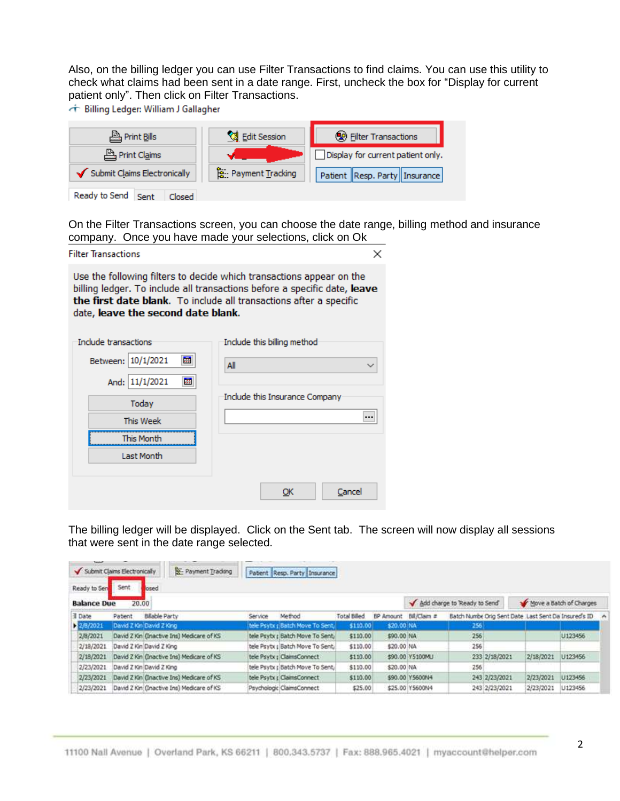Also, on the billing ledger you can use Filter Transactions to find claims. You can use this utility to check what claims had been sent in a date range. First, uncheck the box for "Display for current patient only". Then click on Filter Transactions.

← Billing Ledger: William J Gallagher

| Print Bills                     | <b>S</b> Edit Session       | <b>(2)</b> Filter Transactions    |  |  |  |
|---------------------------------|-----------------------------|-----------------------------------|--|--|--|
| Print Claims                    |                             | Display for current patient only. |  |  |  |
| Submit Claims Electronically    | <b>B</b> : Payment Tracking | Patient Resp. Party   Insurance   |  |  |  |
| Ready to Send<br>Closed<br>Sent |                             |                                   |  |  |  |

On the Filter Transactions screen, you can choose the date range, billing method and insurance company. Once you have made your selections, click on Ok

| <b>Filter Transactions</b>                                                                                                                                                                                                                                    | ×                              |  |  |  |  |  |  |  |  |
|---------------------------------------------------------------------------------------------------------------------------------------------------------------------------------------------------------------------------------------------------------------|--------------------------------|--|--|--|--|--|--|--|--|
| Use the following filters to decide which transactions appear on the<br>billing ledger. To include all transactions before a specific date, leave<br>the first date blank. To include all transactions after a specific<br>date, leave the second date blank. |                                |  |  |  |  |  |  |  |  |
| Include transactions                                                                                                                                                                                                                                          | Include this billing method    |  |  |  |  |  |  |  |  |
| 國<br>Between: 10/1/2021                                                                                                                                                                                                                                       | All<br>$\checkmark$            |  |  |  |  |  |  |  |  |
| 闗<br>And: 11/1/2021                                                                                                                                                                                                                                           |                                |  |  |  |  |  |  |  |  |
| Today                                                                                                                                                                                                                                                         | Include this Insurance Company |  |  |  |  |  |  |  |  |
| This Week                                                                                                                                                                                                                                                     |                                |  |  |  |  |  |  |  |  |
| This Month                                                                                                                                                                                                                                                    |                                |  |  |  |  |  |  |  |  |
| Last Month                                                                                                                                                                                                                                                    |                                |  |  |  |  |  |  |  |  |
|                                                                                                                                                                                                                                                               | Cancel<br>ОК                   |  |  |  |  |  |  |  |  |

The billing ledger will be displayed. Click on the Sent tab. The screen will now display all sessions that were sent in the date range selected.

| Sent               | Payment Trading<br>losed |                                                                                                                                                                                                                                                                                                              |        |                                                                                       |                                                                                                                                                                              |                                                                                 |                                                                                                                                         |                                                                                |                                     |                                                                                 |
|--------------------|--------------------------|--------------------------------------------------------------------------------------------------------------------------------------------------------------------------------------------------------------------------------------------------------------------------------------------------------------|--------|---------------------------------------------------------------------------------------|------------------------------------------------------------------------------------------------------------------------------------------------------------------------------|---------------------------------------------------------------------------------|-----------------------------------------------------------------------------------------------------------------------------------------|--------------------------------------------------------------------------------|-------------------------------------|---------------------------------------------------------------------------------|
| <b>Balance Due</b> |                          |                                                                                                                                                                                                                                                                                                              |        |                                                                                       |                                                                                                                                                                              |                                                                                 |                                                                                                                                         |                                                                                |                                     |                                                                                 |
| Patient            | <b>Billable Party</b>    | Service                                                                                                                                                                                                                                                                                                      | Method | <b>Total Billed</b>                                                                   |                                                                                                                                                                              |                                                                                 |                                                                                                                                         |                                                                                |                                     | ۰                                                                               |
|                    |                          |                                                                                                                                                                                                                                                                                                              |        |                                                                                       |                                                                                                                                                                              |                                                                                 | 256                                                                                                                                     |                                                                                |                                     |                                                                                 |
|                    |                          |                                                                                                                                                                                                                                                                                                              |        |                                                                                       |                                                                                                                                                                              |                                                                                 | 256                                                                                                                                     |                                                                                | U123456                             |                                                                                 |
|                    |                          |                                                                                                                                                                                                                                                                                                              |        |                                                                                       |                                                                                                                                                                              |                                                                                 | 256                                                                                                                                     |                                                                                |                                     |                                                                                 |
|                    |                          |                                                                                                                                                                                                                                                                                                              |        |                                                                                       |                                                                                                                                                                              |                                                                                 |                                                                                                                                         |                                                                                | U123456                             |                                                                                 |
|                    |                          |                                                                                                                                                                                                                                                                                                              |        |                                                                                       |                                                                                                                                                                              |                                                                                 | 256                                                                                                                                     |                                                                                |                                     |                                                                                 |
|                    |                          |                                                                                                                                                                                                                                                                                                              |        |                                                                                       |                                                                                                                                                                              |                                                                                 |                                                                                                                                         |                                                                                | U123456                             |                                                                                 |
|                    |                          |                                                                                                                                                                                                                                                                                                              |        |                                                                                       |                                                                                                                                                                              |                                                                                 |                                                                                                                                         |                                                                                | U123456                             |                                                                                 |
|                    |                          | Submit Claims Electronically<br>20.00<br>David Z Kin David Z King<br>David Z Kin (Inactive Ins) Medicare of KS<br>David Z Kin David Z King<br>David 2 Kin (Inactive Ins) Medicare of KS<br>David Z Kin David Z King<br>David Z Kin (Inactive Ins) Medcare of KS<br>David Z Kin (Inactive Ins) Medicare of KS |        | tele Psytx : ClaimsConnect<br>tele Psytx (ClaimsConnect)<br>Psychologic ClaimsConnect | Patient Resp. Party Insurance<br>tele Psytx ; Batch Move To Sent,<br>tele Psytx r Batch Move To Sent<br>tele Psytx : Batch Move To Sent.<br>tele Psytx ; Batch Move To Sent, | \$110.00<br>\$110.00<br>\$110.00<br>\$110.00<br>\$110.00<br>\$110.00<br>\$25.00 | BP Amount Bill/Claim #<br>\$20.00 NA<br>\$90.00 NA<br>\$20.00 NA<br>\$90.00 Y5100MU<br>\$20.00 NA<br>\$90.00 Y5600N4<br>\$25.00 Y5600N4 | Add charge to Ready to Send<br>233 2/18/2021<br>243 2/23/2021<br>243 2/23/2021 | 2/18/2021<br>2/23/2021<br>2/23/2021 | Move a Batch of Charges<br>Batch Numbe Orig Sent Date Last Sent Da Insured's ID |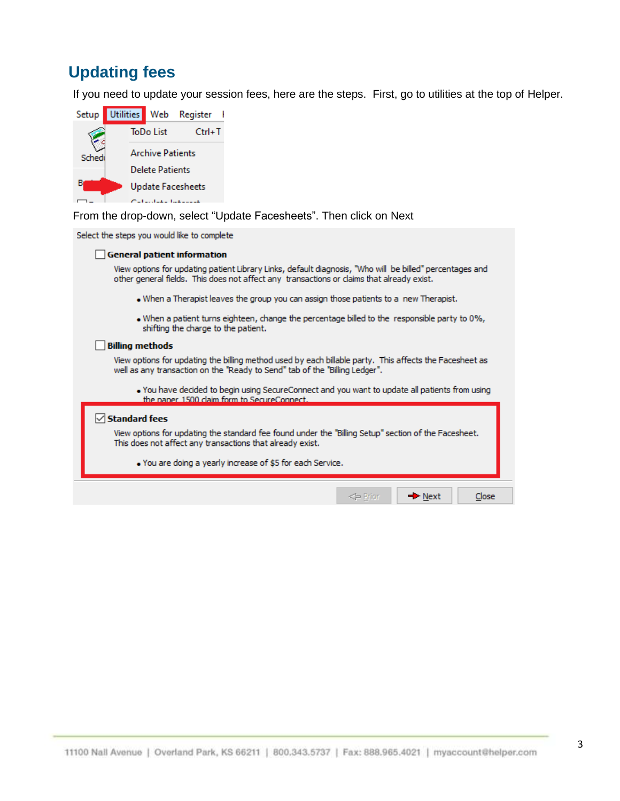# <span id="page-3-0"></span>**Updating fees**

If you need to update your session fees, here are the steps. First, go to utilities at the top of Helper.



From the drop-down, select "Update Facesheets". Then click on Next

Select the steps you would like to complete

#### General patient information

View options for updating patient Library Links, default diagnosis, "Who will be billed" percentages and other general fields. This does not affect any transactions or claims that already exist.

- . When a Therapist leaves the group you can assign those patients to a new Therapist.
- . When a patient turns eighteen, change the percentage billed to the responsible party to 0%, shifting the charge to the patient.

#### **Billing methods**

View options for updating the billing method used by each billable party. This affects the Facesheet as well as any transaction on the "Ready to Send" tab of the "Billing Ledger".

. You have decided to begin using SecureConnect and you want to update all patients from using the naner 1500 claim form to SecureConnect.

 $\Leftarrow$  Prior

 $\rightarrow$  Next

Close

#### $\sqrt{\phantom{a}}$ Standard fees

View options for updating the standard fee found under the "Billing Setup" section of the Facesheet. This does not affect any transactions that already exist.

. You are doing a yearly increase of \$5 for each Service.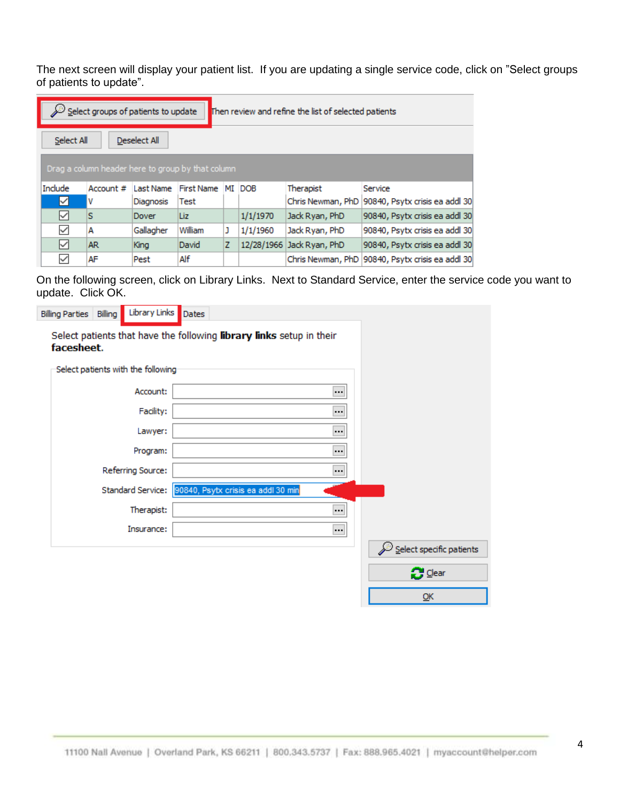The next screen will display your patient list. If you are updating a single service code, click on "Select groups of patients to update".

| Select groups of patients to update<br>Then review and refine the list of selected patients |                                                   |                  |                   |    |            |                           |                                                  |  |  |  |  |
|---------------------------------------------------------------------------------------------|---------------------------------------------------|------------------|-------------------|----|------------|---------------------------|--------------------------------------------------|--|--|--|--|
| Select All<br>Deselect All                                                                  |                                                   |                  |                   |    |            |                           |                                                  |  |  |  |  |
|                                                                                             | Drag a column header here to group by that column |                  |                   |    |            |                           |                                                  |  |  |  |  |
| Include                                                                                     | Account #                                         | Last Name        | <b>First Name</b> | МI | <b>DOB</b> | Therapist                 | Service                                          |  |  |  |  |
| M                                                                                           | ۷                                                 | <b>Diagnosis</b> | Test              |    |            | Chris Newman, PhD         | 90840, Psytx crisis ea addl 30                   |  |  |  |  |
| ✓                                                                                           | s                                                 | Dover            | Liz               |    | 1/1/1970   | Jack Ryan, PhD            | 90840, Psytx crisis ea addl 30                   |  |  |  |  |
| $\checkmark$                                                                                | А                                                 | Gallagher        | William           | J  | 1/1/1960   | Jack Ryan, PhD            | 90840, Psytx crisis ea addl 30                   |  |  |  |  |
| ☑                                                                                           | AR.                                               | King             | David             | z  |            | 12/28/1966 Jack Ryan, PhD | 90840, Psytx crisis ea addl 30                   |  |  |  |  |
| ✓                                                                                           | AF                                                | Pest             | Alf               |    |            |                           | Chris Newman, PhD 90840, Psytx crisis ea addl 30 |  |  |  |  |

On the following screen, click on Library Links. Next to Standard Service, enter the service code you want to update. Click OK.

| Library Links<br>Billing<br><b>Billing Parties</b>                                 | Dates                                                |                                        |
|------------------------------------------------------------------------------------|------------------------------------------------------|----------------------------------------|
| Select patients that have the following library links setup in their<br>facesheet. |                                                      |                                        |
| Select patients with the following                                                 |                                                      |                                        |
| Account:                                                                           |                                                      |                                        |
| Facility:                                                                          |                                                      |                                        |
| Lawyer:                                                                            |                                                      |                                        |
| Program:                                                                           |                                                      |                                        |
| Referring Source:                                                                  |                                                      |                                        |
|                                                                                    | Standard Service: 90840, Psytx crisis ea addl 30 min |                                        |
| Therapist:                                                                         |                                                      |                                        |
| Insurance:                                                                         | $\bigodot$                                           |                                        |
|                                                                                    |                                                      | $\mathscr{L}$ Select specific patients |
|                                                                                    |                                                      | $\mathbb{C}$ Clear                     |
|                                                                                    |                                                      | QK                                     |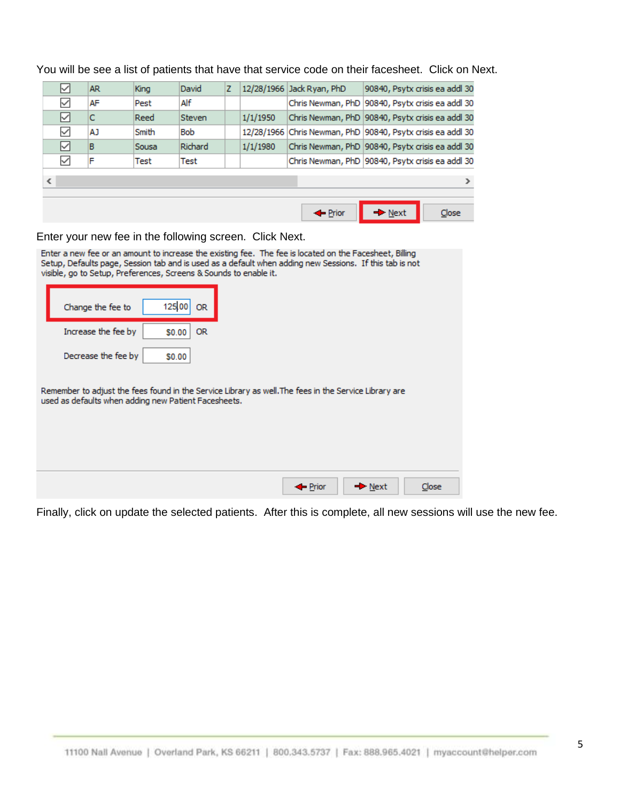| ☑                        | AR.                                          | King  | David      | z |            | 12/28/1966 Jack Ryan, PhD | 90840, Psytx crisis ea addl 30                     |  |  |  |  |
|--------------------------|----------------------------------------------|-------|------------|---|------------|---------------------------|----------------------------------------------------|--|--|--|--|
| $\checkmark$             | AF                                           | Pest  | Alf        |   |            |                           | Chris Newman, PhD 90840, Psytx crisis ea addl 30   |  |  |  |  |
| ☑                        | IС                                           | Reed  | Steven     |   | 1/1/1950   |                           | Chris Newman, PhD 90840, Psytx crisis ea addl 30   |  |  |  |  |
| $\checkmark$             | AJ.                                          | Smith | <b>Bob</b> |   | 12/28/1966 |                           | Chris Newman, PhD 90840, Psytx crisis ea addl 30   |  |  |  |  |
| ☑                        | B                                            | Sousa | Richard    |   | 1/1/1980   |                           | Chris Newman, PhD   90840, Psytx crisis ea addl 30 |  |  |  |  |
| $\checkmark$             | F                                            | Test  | Test       |   |            |                           | Chris Newman, PhD 90840, Psytx crisis ea addl 30   |  |  |  |  |
| $\overline{\phantom{a}}$ | ⋗                                            |       |            |   |            |                           |                                                    |  |  |  |  |
|                          | Close<br>Prior<br>$\blacktriangleright$ Next |       |            |   |            |                           |                                                    |  |  |  |  |

You will be see a list of patients that have that service code on their facesheet. Click on Next.

Enter your new fee in the following screen. Click Next.

| Enter a new fee or an amount to increase the existing fee. The fee is located on the Facesheet, Billing<br>Setup, Defaults page, Session tab and is used as a default when adding new Sessions. If this tab is not<br>visible, go to Setup, Preferences, Screens & Sounds to enable it. |  |  |  |  |  |  |  |  |
|-----------------------------------------------------------------------------------------------------------------------------------------------------------------------------------------------------------------------------------------------------------------------------------------|--|--|--|--|--|--|--|--|
| 125.00<br>Change the fee to<br>OR.                                                                                                                                                                                                                                                      |  |  |  |  |  |  |  |  |
| Increase the fee by<br>OR.<br>\$0.00                                                                                                                                                                                                                                                    |  |  |  |  |  |  |  |  |
| Decrease the fee by<br>\$0.00                                                                                                                                                                                                                                                           |  |  |  |  |  |  |  |  |
| Remember to adjust the fees found in the Service Library as well. The fees in the Service Library are<br>used as defaults when adding new Patient Facesheets.                                                                                                                           |  |  |  |  |  |  |  |  |
| $\rightarrow$ Next<br>Close<br>$\blacksquare$ Prior                                                                                                                                                                                                                                     |  |  |  |  |  |  |  |  |

Finally, click on update the selected patients. After this is complete, all new sessions will use the new fee.